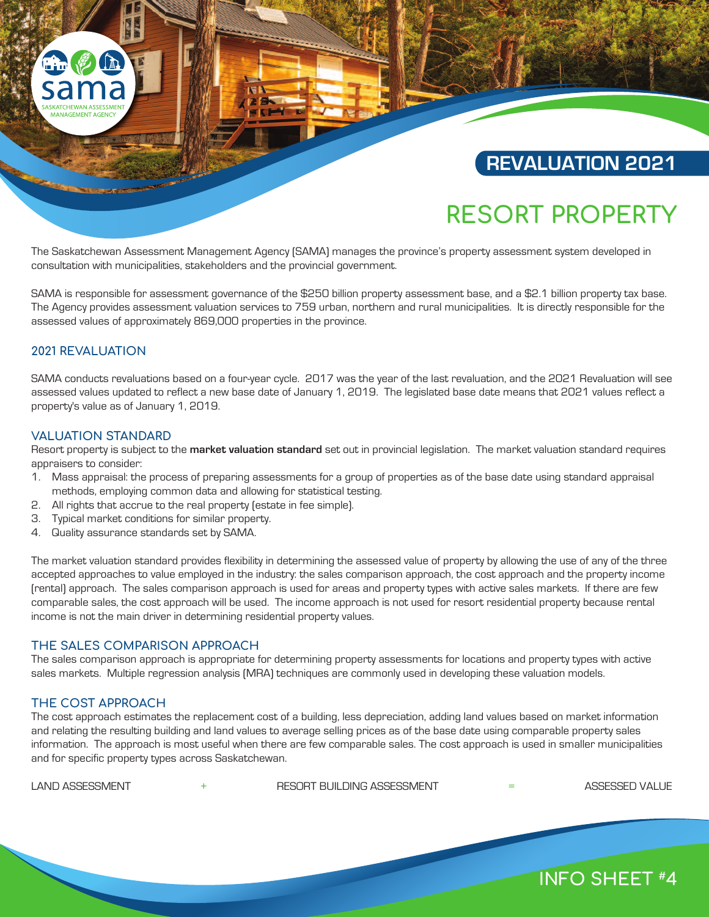# **REVALUATION 2021**

# **RESORT PROPERTY**

The Saskatchewan Assessment Management Agency (SAMA) manages the province's property assessment system developed in consultation with municipalities, stakeholders and the provincial government.

SAMA is responsible for assessment governance of the \$250 billion property assessment base, and a \$2.1 billion property tax base. The Agency provides assessment valuation services to 759 urban, northern and rural municipalities. It is directly responsible for the assessed values of approximately 869,000 properties in the province.

# **2021 REVALUATION**

SAMA conducts revaluations based on a four-year cycle. 2017 was the year of the last revaluation, and the 2021 Revaluation will see assessed values updated to reflect a new base date of January 1, 2019. The legislated base date means that 2021 values reflect a property's value as of January 1, 2019.

## **VALUATION STANDARD**

Resort property is subject to the **market valuation standard** set out in provincial legislation. The market valuation standard requires appraisers to consider:

- 1. Mass appraisal: the process of preparing assessments for a group of properties as of the base date using standard appraisal methods, employing common data and allowing for statistical testing.
- 2. All rights that accrue to the real property (estate in fee simple).
- 3. Typical market conditions for similar property.
- 4. Quality assurance standards set by SAMA.

The market valuation standard provides flexibility in determining the assessed value of property by allowing the use of any of the three accepted approaches to value employed in the industry: the sales comparison approach, the cost approach and the property income (rental) approach. The sales comparison approach is used for areas and property types with active sales markets. If there are few comparable sales, the cost approach will be used. The income approach is not used for resort residential property because rental income is not the main driver in determining residential property values.

## **THE SALES COMPARISON APPROACH**

The sales comparison approach is appropriate for determining property assessments for locations and property types with active sales markets. Multiple regression analysis (MRA) techniques are commonly used in developing these valuation models.

# **THE COST APPROACH**

The cost approach estimates the replacement cost of a building, less depreciation, adding land values based on market information and relating the resulting building and land values to average selling prices as of the base date using comparable property sales information. The approach is most useful when there are few comparable sales. The cost approach is used in smaller municipalities and for specific property types across Saskatchewan.

LAND ASSESSMENT + RESORT BUILDING ASSESSMENT = ASSESSED VALUE